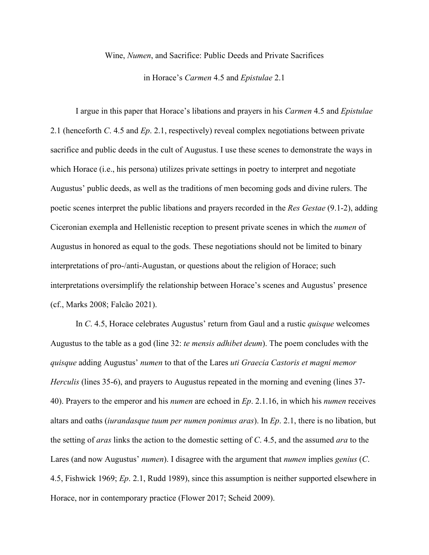## Wine, *Numen*, and Sacrifice: Public Deeds and Private Sacrifices

in Horace's *Carmen* 4.5 and *Epistulae* 2.1

I argue in this paper that Horace's libations and prayers in his *Carmen* 4.5 and *Epistulae* 2.1 (henceforth *C*. 4.5 and *Ep*. 2.1, respectively) reveal complex negotiations between private sacrifice and public deeds in the cult of Augustus. I use these scenes to demonstrate the ways in which Horace (i.e., his persona) utilizes private settings in poetry to interpret and negotiate Augustus' public deeds, as well as the traditions of men becoming gods and divine rulers. The poetic scenes interpret the public libations and prayers recorded in the *Res Gestae* (9.1-2), adding Ciceronian exempla and Hellenistic reception to present private scenes in which the *numen* of Augustus in honored as equal to the gods. These negotiations should not be limited to binary interpretations of pro-/anti-Augustan, or questions about the religion of Horace; such interpretations oversimplify the relationship between Horace's scenes and Augustus' presence (cf., Marks 2008; Falcão 2021).

In *C*. 4.5, Horace celebrates Augustus' return from Gaul and a rustic *quisque* welcomes Augustus to the table as a god (line 32: *te mensis adhibet deum*). The poem concludes with the *quisque* adding Augustus' *numen* to that of the Lares *uti Graecia Castoris et magni memor Herculis* (lines 35-6), and prayers to Augustus repeated in the morning and evening (lines 37- 40). Prayers to the emperor and his *numen* are echoed in *Ep*. 2.1.16, in which his *numen* receives altars and oaths (*iurandasque tuum per numen ponimus aras*). In *Ep*. 2.1, there is no libation, but the setting of *aras* links the action to the domestic setting of *C*. 4.5, and the assumed *ara* to the Lares (and now Augustus' *numen*). I disagree with the argument that *numen* implies *genius* (*C*. 4.5, Fishwick 1969; *Ep*. 2.1, Rudd 1989), since this assumption is neither supported elsewhere in Horace, nor in contemporary practice (Flower 2017; Scheid 2009).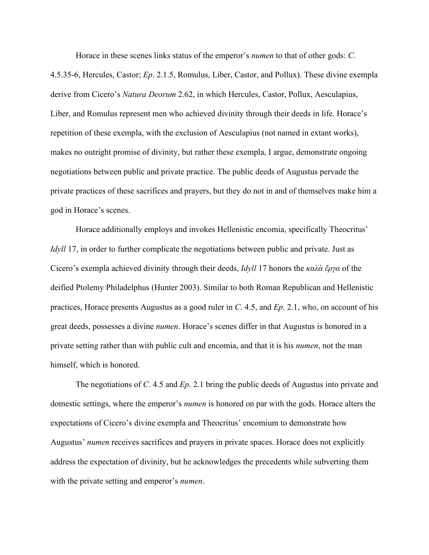Horace in these scenes links status of the emperor's *numen* to that of other gods: *C*.

4.5.35-6, Hercules, Castor; *Ep*. 2.1.5, Romulus, Liber, Castor, and Pollux). These divine exempla derive from Cicero's *Natura Deorum* 2.62, in which Hercules, Castor, Pollux, Aesculapius, Liber, and Romulus represent men who achieved divinity through their deeds in life. Horace's repetition of these exempla, with the exclusion of Aesculapius (not named in extant works), makes no outright promise of divinity, but rather these exempla, I argue, demonstrate ongoing negotiations between public and private practice. The public deeds of Augustus pervade the private practices of these sacrifices and prayers, but they do not in and of themselves make him a god in Horace's scenes.

Horace additionally employs and invokes Hellenistic encomia, specifically Theocritus' *Idyll* 17, in order to further complicate the negotiations between public and private. Just as Cicero's exempla achieved divinity through their deeds, *Idyll* 17 honors the *καλὰ ἔργα* of the deified Ptolemy Philadelphus (Hunter 2003). Similar to both Roman Republican and Hellenistic practices, Horace presents Augustus as a good ruler in *C*. 4.5, and *Ep*. 2.1, who, on account of his great deeds, possesses a divine *numen*. Horace's scenes differ in that Augustus is honored in a private setting rather than with public cult and encomia, and that it is his *numen*, not the man himself, which is honored.

The negotiations of *C*. 4.5 and *Ep*. 2.1 bring the public deeds of Augustus into private and domestic settings, where the emperor's *numen* is honored on par with the gods. Horace alters the expectations of Cicero's divine exempla and Theocritus' encomium to demonstrate how Augustus' *numen* receives sacrifices and prayers in private spaces. Horace does not explicitly address the expectation of divinity, but he acknowledges the precedents while subverting them with the private setting and emperor's *numen*.